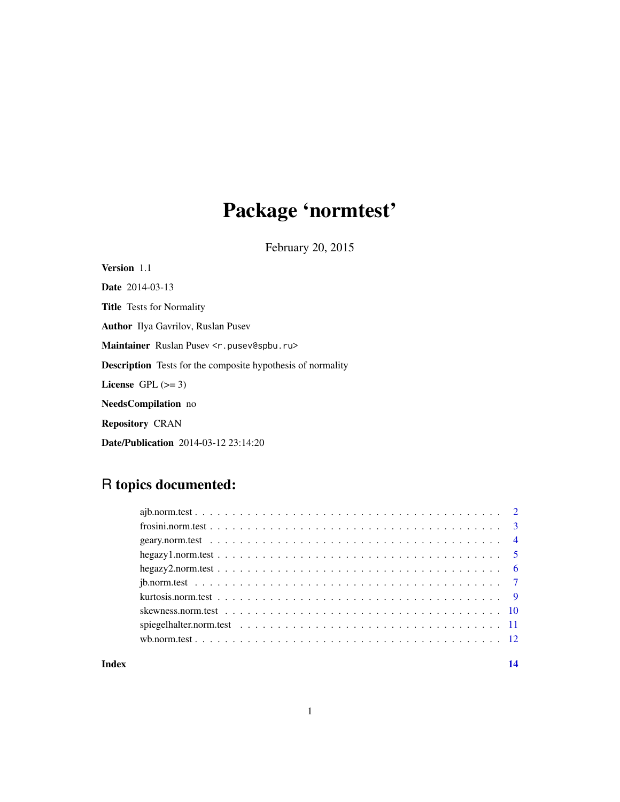# Package 'normtest'

February 20, 2015

Version 1.1 Date 2014-03-13 Title Tests for Normality Author Ilya Gavrilov, Ruslan Pusev Maintainer Ruslan Pusev <r.pusev@spbu.ru> Description Tests for the composite hypothesis of normality License GPL  $(>= 3)$ NeedsCompilation no Repository CRAN Date/Publication 2014-03-12 23:14:20

# R topics documented:

#### **Index** 2008 **[14](#page-13-0)**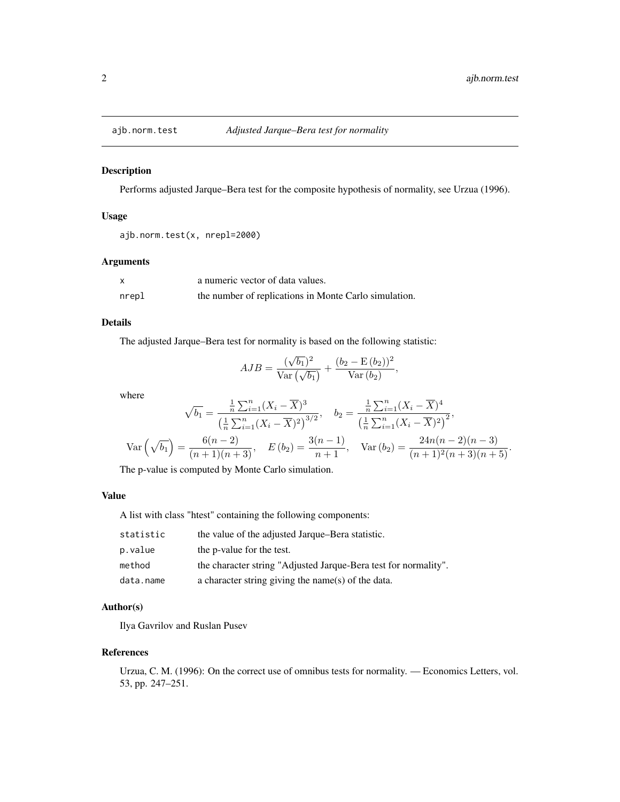<span id="page-1-0"></span>

#### Description

Performs adjusted Jarque–Bera test for the composite hypothesis of normality, see Urzua (1996).

#### Usage

```
ajb.norm.test(x, nrepl=2000)
```
# Arguments

|       | a numeric vector of data values.                      |
|-------|-------------------------------------------------------|
| nrepl | the number of replications in Monte Carlo simulation. |

#### Details

The adjusted Jarque–Bera test for normality is based on the following statistic:

$$
AJB = \frac{(\sqrt{b_1})^2}{\text{Var}(\sqrt{b_1})} + \frac{(b_2 - \text{E}(b_2))^2}{\text{Var}(b_2)},
$$

where

$$
\sqrt{b_1} = \frac{\frac{1}{n} \sum_{i=1}^n (X_i - \overline{X})^3}{\left(\frac{1}{n} \sum_{i=1}^n (X_i - \overline{X})^2\right)^{3/2}}, \quad b_2 = \frac{\frac{1}{n} \sum_{i=1}^n (X_i - \overline{X})^4}{\left(\frac{1}{n} \sum_{i=1}^n (X_i - \overline{X})^2\right)^{2}},
$$
  
\n
$$
\text{Var}\left(\sqrt{b_1}\right) = \frac{6(n-2)}{(n+1)(n+3)}, \quad E\left(b_2\right) = \frac{3(n-1)}{n+1}, \quad \text{Var}\left(b_2\right) = \frac{24n(n-2)(n-3)}{(n+1)^2(n+3)(n+5)}.
$$

The p-value is computed by Monte Carlo simulation.

# Value

A list with class "htest" containing the following components:

| statistic | the value of the adjusted Jarque–Bera statistic.                |
|-----------|-----------------------------------------------------------------|
| p.value   | the p-value for the test.                                       |
| method    | the character string "Adjusted Jarque-Bera test for normality". |
| data.name | a character string giving the name(s) of the data.              |

# Author(s)

Ilya Gavrilov and Ruslan Pusev

# References

Urzua, C. M. (1996): On the correct use of omnibus tests for normality. — Economics Letters, vol. 53, pp. 247–251.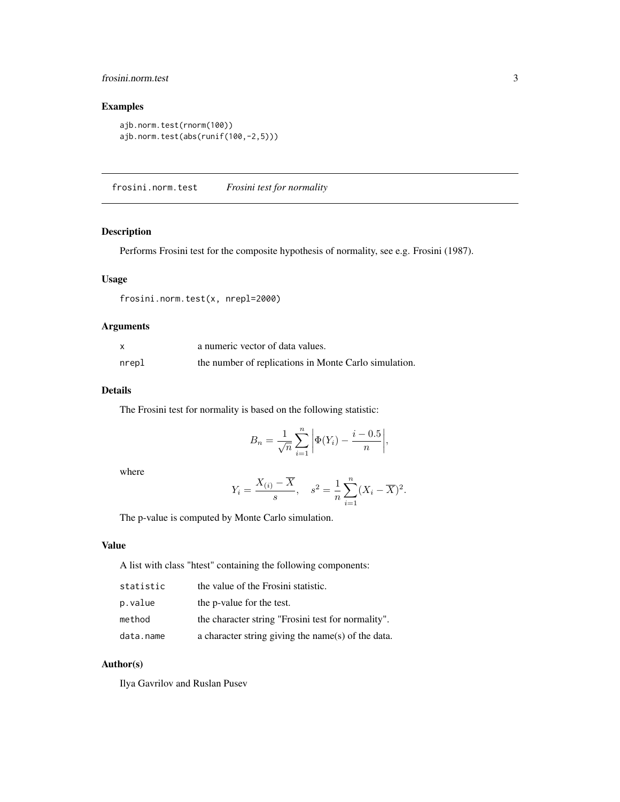# <span id="page-2-0"></span>frosini.norm.test 3

# Examples

```
ajb.norm.test(rnorm(100))
ajb.norm.test(abs(runif(100,-2,5)))
```
frosini.norm.test *Frosini test for normality*

# Description

Performs Frosini test for the composite hypothesis of normality, see e.g. Frosini (1987).

# Usage

frosini.norm.test(x, nrepl=2000)

# Arguments

| X     | a numeric vector of data values.                      |
|-------|-------------------------------------------------------|
| nrepl | the number of replications in Monte Carlo simulation. |

# Details

The Frosini test for normality is based on the following statistic:

$$
B_n = \frac{1}{\sqrt{n}} \sum_{i=1}^n \left| \Phi(Y_i) - \frac{i - 0.5}{n} \right|,
$$

where

$$
Y_i = \frac{X_{(i)} - \overline{X}}{s}, \quad s^2 = \frac{1}{n} \sum_{i=1}^n (X_i - \overline{X})^2.
$$

The p-value is computed by Monte Carlo simulation.

#### Value

A list with class "htest" containing the following components:

| statistic | the value of the Frosini statistic.                |
|-----------|----------------------------------------------------|
| p.value   | the p-value for the test.                          |
| method    | the character string "Frosini test for normality". |
| data.name | a character string giving the name(s) of the data. |

#### Author(s)

Ilya Gavrilov and Ruslan Pusev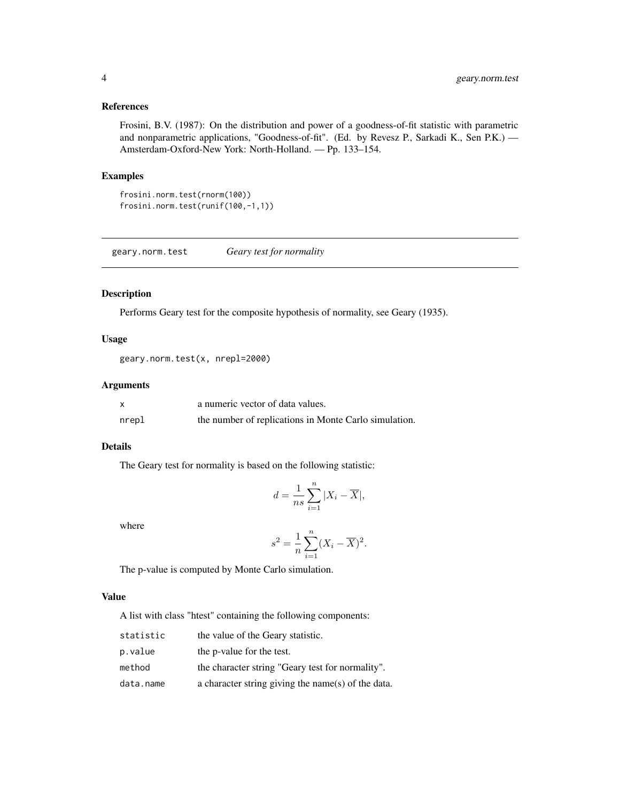#### References

Frosini, B.V. (1987): On the distribution and power of a goodness-of-fit statistic with parametric and nonparametric applications, "Goodness-of-fit". (Ed. by Revesz P., Sarkadi K., Sen P.K.) — Amsterdam-Oxford-New York: North-Holland. — Pp. 133–154.

# Examples

```
frosini.norm.test(rnorm(100))
frosini.norm.test(runif(100,-1,1))
```
geary.norm.test *Geary test for normality*

#### Description

Performs Geary test for the composite hypothesis of normality, see Geary (1935).

#### Usage

```
geary.norm.test(x, nrepl=2000)
```
# Arguments

| X     | a numeric vector of data values.                      |
|-------|-------------------------------------------------------|
| nrepl | the number of replications in Monte Carlo simulation. |

#### Details

The Geary test for normality is based on the following statistic:

$$
d = \frac{1}{ns} \sum_{i=1}^{n} |X_i - \overline{X}|,
$$

where

$$
s^{2} = \frac{1}{n} \sum_{i=1}^{n} (X_{i} - \overline{X})^{2}.
$$

The p-value is computed by Monte Carlo simulation.

#### Value

A list with class "htest" containing the following components:

| statistic | the value of the Geary statistic.                  |
|-----------|----------------------------------------------------|
| p.value   | the p-value for the test.                          |
| method    | the character string "Geary test for normality".   |
| data.name | a character string giving the name(s) of the data. |

<span id="page-3-0"></span>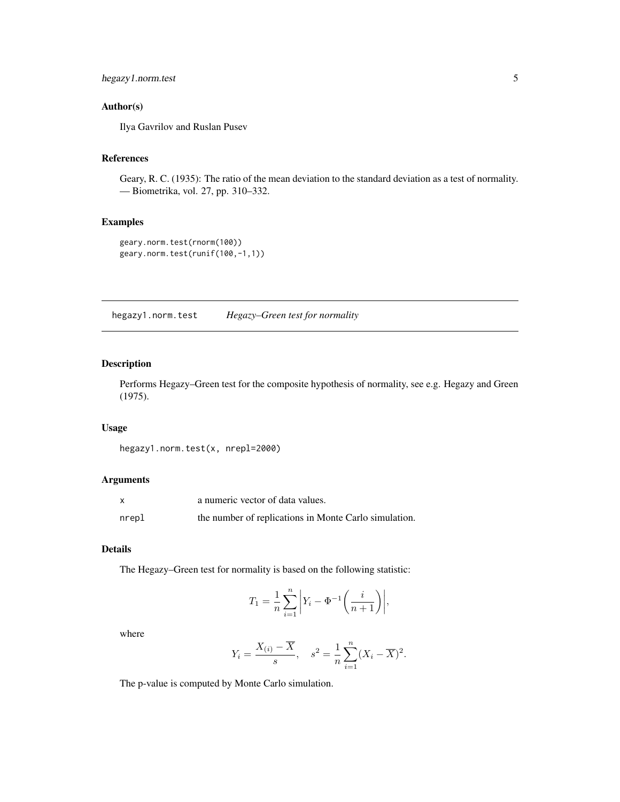# <span id="page-4-0"></span>hegazy1.norm.test 5

# Author(s)

Ilya Gavrilov and Ruslan Pusev

#### References

Geary, R. C. (1935): The ratio of the mean deviation to the standard deviation as a test of normality. — Biometrika, vol. 27, pp. 310–332.

# Examples

```
geary.norm.test(rnorm(100))
geary.norm.test(runif(100,-1,1))
```
hegazy1.norm.test *Hegazy–Green test for normality*

#### Description

Performs Hegazy–Green test for the composite hypothesis of normality, see e.g. Hegazy and Green (1975).

# Usage

```
hegazy1.norm.test(x, nrepl=2000)
```
#### Arguments

|       | a numeric vector of data values.                      |
|-------|-------------------------------------------------------|
| nrepl | the number of replications in Monte Carlo simulation. |

#### Details

The Hegazy–Green test for normality is based on the following statistic:

$$
T_1 = \frac{1}{n} \sum_{i=1}^{n} \left| Y_i - \Phi^{-1} \left( \frac{i}{n+1} \right) \right|,
$$

where

$$
Y_i = \frac{X_{(i)} - \overline{X}}{s}, \quad s^2 = \frac{1}{n} \sum_{i=1}^n (X_i - \overline{X})^2.
$$

The p-value is computed by Monte Carlo simulation.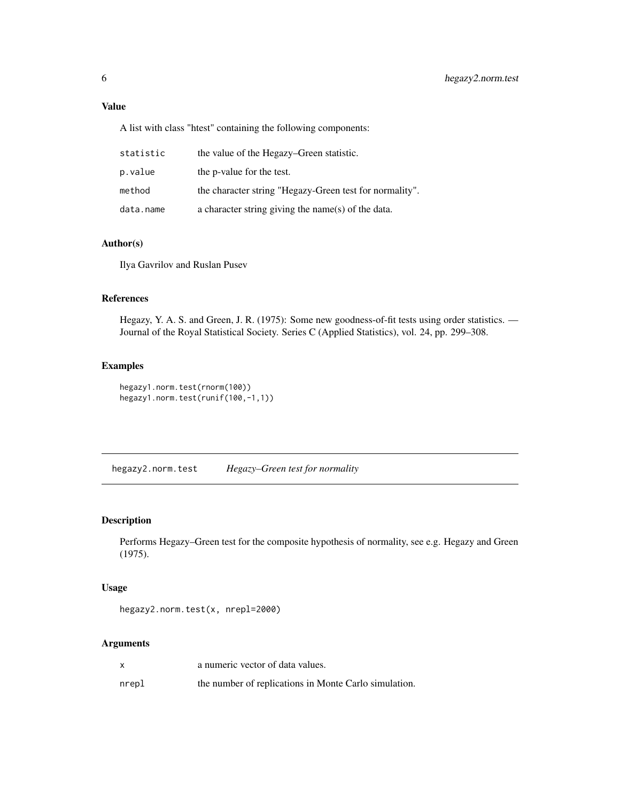<span id="page-5-0"></span>A list with class "htest" containing the following components:

| statistic | the value of the Hegazy–Green statistic.                |
|-----------|---------------------------------------------------------|
| p.value   | the p-value for the test.                               |
| method    | the character string "Hegazy-Green test for normality". |
| data.name | a character string giving the name(s) of the data.      |

#### Author(s)

Ilya Gavrilov and Ruslan Pusev

#### References

Hegazy, Y. A. S. and Green, J. R. (1975): Some new goodness-of-fit tests using order statistics. — Journal of the Royal Statistical Society. Series C (Applied Statistics), vol. 24, pp. 299–308.

#### Examples

```
hegazy1.norm.test(rnorm(100))
hegazy1.norm.test(runif(100,-1,1))
```
hegazy2.norm.test *Hegazy–Green test for normality*

#### Description

Performs Hegazy–Green test for the composite hypothesis of normality, see e.g. Hegazy and Green (1975).

#### Usage

```
hegazy2.norm.test(x, nrepl=2000)
```
# Arguments

|       | a numeric vector of data values.                      |
|-------|-------------------------------------------------------|
| nrepl | the number of replications in Monte Carlo simulation. |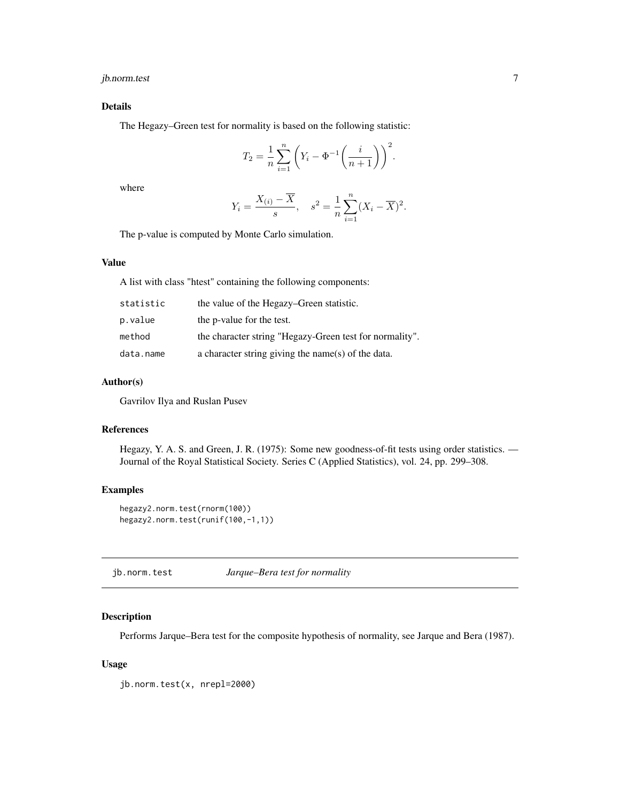# <span id="page-6-0"></span>jb.norm.test 7

#### Details

The Hegazy–Green test for normality is based on the following statistic:

$$
T_2 = \frac{1}{n} \sum_{i=1}^n \left( Y_i - \Phi^{-1} \left( \frac{i}{n+1} \right) \right)^2.
$$

where

$$
Y_i = \frac{X_{(i)} - \overline{X}}{s}, \quad s^2 = \frac{1}{n} \sum_{i=1}^n (X_i - \overline{X})^2.
$$

The p-value is computed by Monte Carlo simulation.

# Value

A list with class "htest" containing the following components:

| statistic | the value of the Hegazy–Green statistic.                |
|-----------|---------------------------------------------------------|
| p.value   | the p-value for the test.                               |
| method    | the character string "Hegazy-Green test for normality". |
| data.name | a character string giving the name(s) of the data.      |

#### Author(s)

Gavrilov Ilya and Ruslan Pusev

# References

Hegazy, Y. A. S. and Green, J. R. (1975): Some new goodness-of-fit tests using order statistics. — Journal of the Royal Statistical Society. Series C (Applied Statistics), vol. 24, pp. 299–308.

# Examples

```
hegazy2.norm.test(rnorm(100))
hegazy2.norm.test(runif(100,-1,1))
```
jb.norm.test *Jarque–Bera test for normality*

#### Description

Performs Jarque–Bera test for the composite hypothesis of normality, see Jarque and Bera (1987).

#### Usage

jb.norm.test(x, nrepl=2000)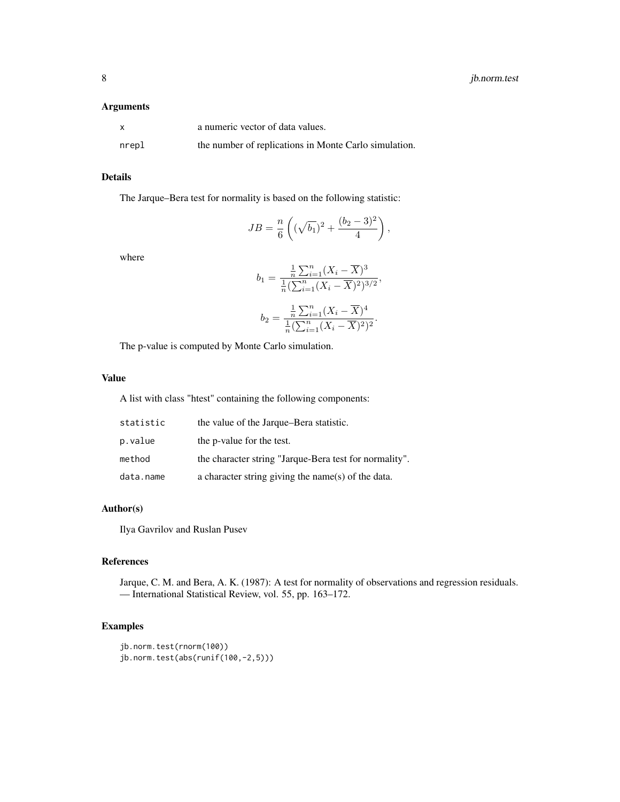#### Arguments

| X     | a numeric vector of data values.                      |
|-------|-------------------------------------------------------|
| nrepl | the number of replications in Monte Carlo simulation. |

# Details

The Jarque–Bera test for normality is based on the following statistic:

$$
JB = \frac{n}{6} \left( (\sqrt{b_1})^2 + \frac{(b_2 - 3)^2}{4} \right),
$$

where

$$
b_1 = \frac{\frac{1}{n}\sum_{i=1}^n (X_i - \overline{X})^3}{\frac{1}{n}(\sum_{i=1}^n (X_i - \overline{X})^2)^{3/2}},
$$

$$
b_2 = \frac{\frac{1}{n}\sum_{i=1}^n (X_i - \overline{X})^4}{\frac{1}{n}(\sum_{i=1}^n (X_i - \overline{X})^2)^2}.
$$

The p-value is computed by Monte Carlo simulation.

#### Value

A list with class "htest" containing the following components:

| statistic | the value of the Jarque–Bera statistic.                |
|-----------|--------------------------------------------------------|
| p.value   | the p-value for the test.                              |
| method    | the character string "Jarque-Bera test for normality". |
| data.name | a character string giving the name(s) of the data.     |

# Author(s)

Ilya Gavrilov and Ruslan Pusev

#### References

Jarque, C. M. and Bera, A. K. (1987): A test for normality of observations and regression residuals. — International Statistical Review, vol. 55, pp. 163–172.

# Examples

```
jb.norm.test(rnorm(100))
jb.norm.test(abs(runif(100,-2,5)))
```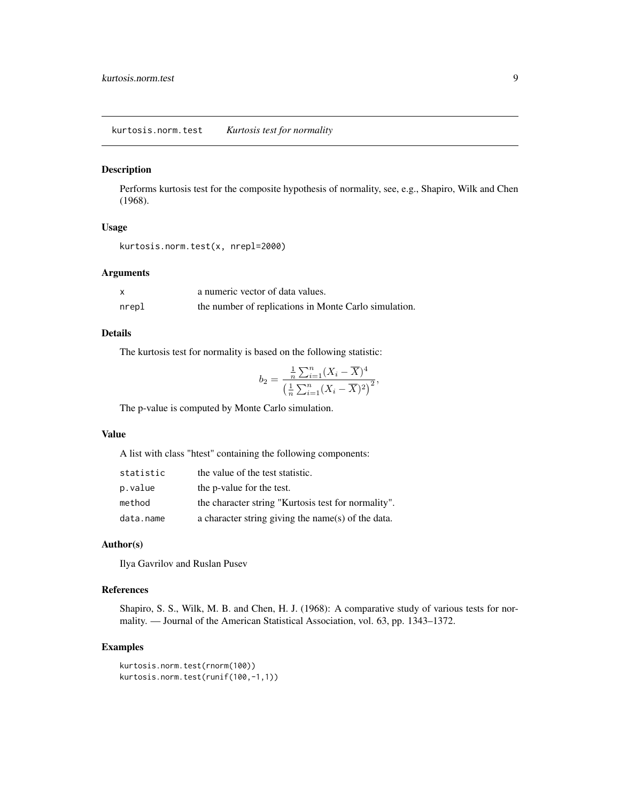#### <span id="page-8-0"></span>Description

Performs kurtosis test for the composite hypothesis of normality, see, e.g., Shapiro, Wilk and Chen (1968).

# Usage

```
kurtosis.norm.test(x, nrepl=2000)
```
#### Arguments

|       | a numeric vector of data values.                      |
|-------|-------------------------------------------------------|
| nrepl | the number of replications in Monte Carlo simulation. |

#### Details

The kurtosis test for normality is based on the following statistic:

$$
b_2 = \frac{\frac{1}{n} \sum_{i=1}^n (X_i - \overline{X})^4}{\left(\frac{1}{n} \sum_{i=1}^n (X_i - \overline{X})^2\right)^2},
$$

The p-value is computed by Monte Carlo simulation.

# Value

A list with class "htest" containing the following components:

| statistic | the value of the test statistic.                    |
|-----------|-----------------------------------------------------|
| p.value   | the p-value for the test.                           |
| method    | the character string "Kurtosis test for normality". |
| data.name | a character string giving the name(s) of the data.  |

#### Author(s)

Ilya Gavrilov and Ruslan Pusev

#### References

Shapiro, S. S., Wilk, M. B. and Chen, H. J. (1968): A comparative study of various tests for normality. — Journal of the American Statistical Association, vol. 63, pp. 1343–1372.

#### Examples

```
kurtosis.norm.test(rnorm(100))
kurtosis.norm.test(runif(100,-1,1))
```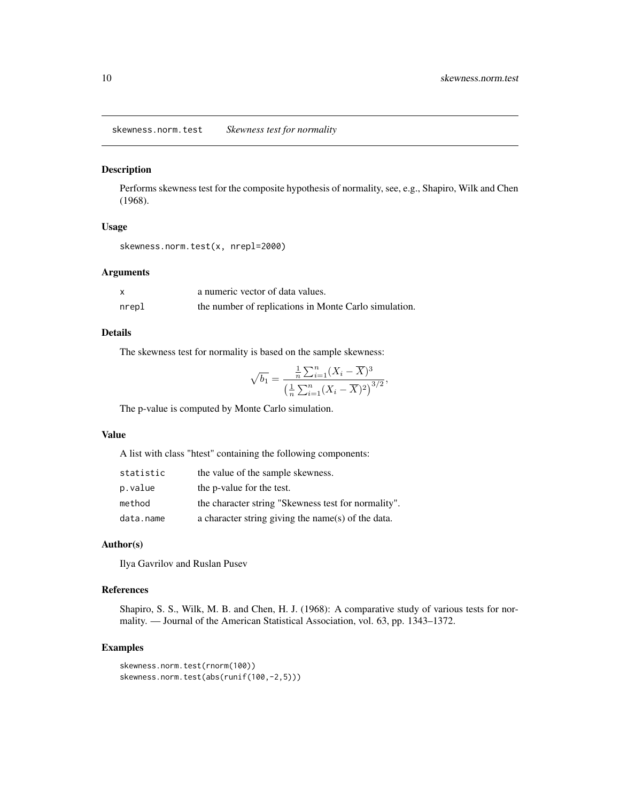<span id="page-9-0"></span>skewness.norm.test *Skewness test for normality*

#### Description

Performs skewness test for the composite hypothesis of normality, see, e.g., Shapiro, Wilk and Chen (1968).

#### Usage

```
skewness.norm.test(x, nrepl=2000)
```
#### Arguments

| X     | a numeric vector of data values.                      |
|-------|-------------------------------------------------------|
| nrepl | the number of replications in Monte Carlo simulation. |

#### Details

The skewness test for normality is based on the sample skewness:

$$
\sqrt{b_1} = \frac{\frac{1}{n}\sum_{i=1}^n (X_i - \overline{X})^3}{\left(\frac{1}{n}\sum_{i=1}^n (X_i - \overline{X})^2\right)^{3/2}},
$$

The p-value is computed by Monte Carlo simulation.

# Value

A list with class "htest" containing the following components:

| statistic | the value of the sample skewness.                   |
|-----------|-----------------------------------------------------|
| p.value   | the p-value for the test.                           |
| method    | the character string "Skewness test for normality". |
| data.name | a character string giving the name(s) of the data.  |

#### Author(s)

Ilya Gavrilov and Ruslan Pusev

#### References

Shapiro, S. S., Wilk, M. B. and Chen, H. J. (1968): A comparative study of various tests for normality. — Journal of the American Statistical Association, vol. 63, pp. 1343–1372.

#### Examples

```
skewness.norm.test(rnorm(100))
skewness.norm.test(abs(runif(100,-2,5)))
```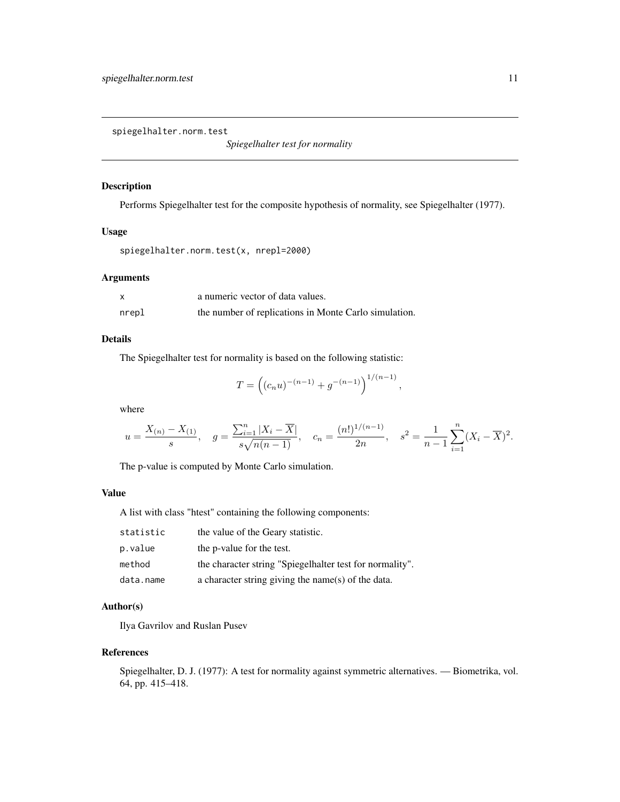<span id="page-10-0"></span>spiegelhalter.norm.test

*Spiegelhalter test for normality*

#### Description

Performs Spiegelhalter test for the composite hypothesis of normality, see Spiegelhalter (1977).

#### Usage

```
spiegelhalter.norm.test(x, nrepl=2000)
```
#### Arguments

|       | a numeric vector of data values.                      |
|-------|-------------------------------------------------------|
| nrepl | the number of replications in Monte Carlo simulation. |

#### Details

The Spiegelhalter test for normality is based on the following statistic:

$$
T = \left( (c_n u)^{-(n-1)} + g^{-(n-1)} \right)^{1/(n-1)},
$$

where

$$
u = \frac{X_{(n)} - X_{(1)}}{s}, \quad g = \frac{\sum_{i=1}^{n} |X_i - \overline{X}|}{s\sqrt{n(n-1)}}, \quad c_n = \frac{(n!)^{1/(n-1)}}{2n}, \quad s^2 = \frac{1}{n-1} \sum_{i=1}^{n} (X_i - \overline{X})^2.
$$

The p-value is computed by Monte Carlo simulation.

#### Value

A list with class "htest" containing the following components:

| statistic | the value of the Geary statistic.                        |
|-----------|----------------------------------------------------------|
| p.value   | the p-value for the test.                                |
| method    | the character string "Spiegelhalter test for normality". |
| data.name | a character string giving the name(s) of the data.       |

# Author(s)

Ilya Gavrilov and Ruslan Pusev

#### References

Spiegelhalter, D. J. (1977): A test for normality against symmetric alternatives. — Biometrika, vol. 64, pp. 415–418.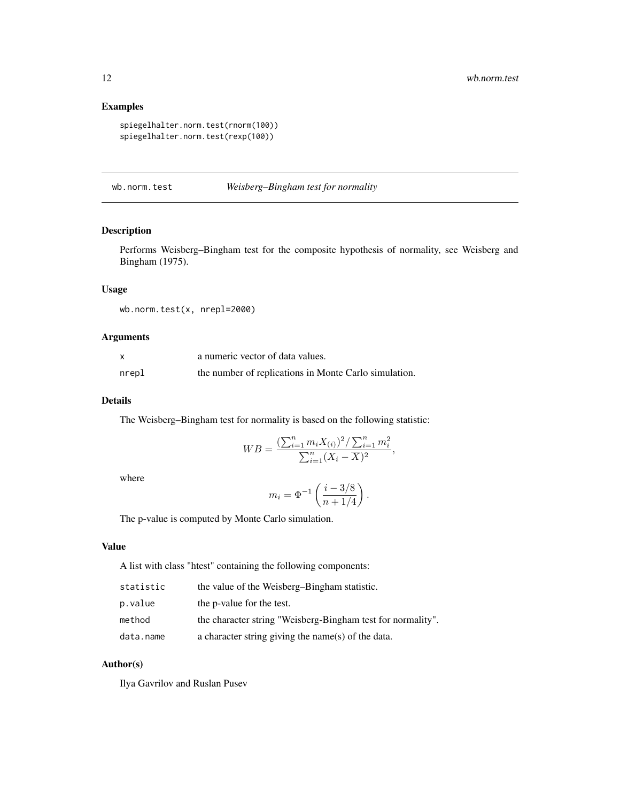#### Examples

```
spiegelhalter.norm.test(rnorm(100))
spiegelhalter.norm.test(rexp(100))
```
#### wb.norm.test *Weisberg–Bingham test for normality*

# Description

Performs Weisberg–Bingham test for the composite hypothesis of normality, see Weisberg and Bingham (1975).

# Usage

wb.norm.test(x, nrepl=2000)

# Arguments

|       | a numeric vector of data values.                      |
|-------|-------------------------------------------------------|
| nrepl | the number of replications in Monte Carlo simulation. |

#### Details

The Weisberg–Bingham test for normality is based on the following statistic:

$$
WB = \frac{\left(\sum_{i=1}^{n} m_i X_{(i)}\right)^2 / \sum_{i=1}^{n} m_i^2}{\sum_{i=1}^{n} (X_i - \overline{X})^2},
$$

where

$$
m_i = \Phi^{-1} \left( \frac{i - 3/8}{n + 1/4} \right).
$$

The p-value is computed by Monte Carlo simulation.

# Value

A list with class "htest" containing the following components:

| statistic | the value of the Weisberg-Bingham statistic.                |
|-----------|-------------------------------------------------------------|
| p.value   | the p-value for the test.                                   |
| method    | the character string "Weisberg-Bingham test for normality". |
| data.name | a character string giving the name(s) of the data.          |

#### Author(s)

Ilya Gavrilov and Ruslan Pusev

<span id="page-11-0"></span>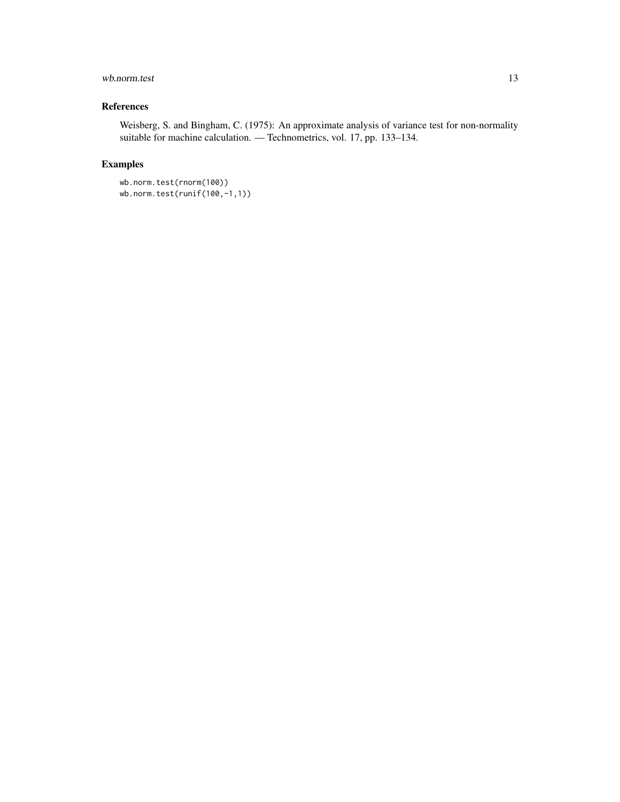# wb.norm.test 13

# References

Weisberg, S. and Bingham, C. (1975): An approximate analysis of variance test for non-normality suitable for machine calculation. — Technometrics, vol. 17, pp. 133–134.

# Examples

wb.norm.test(rnorm(100)) wb.norm.test(runif(100,-1,1))